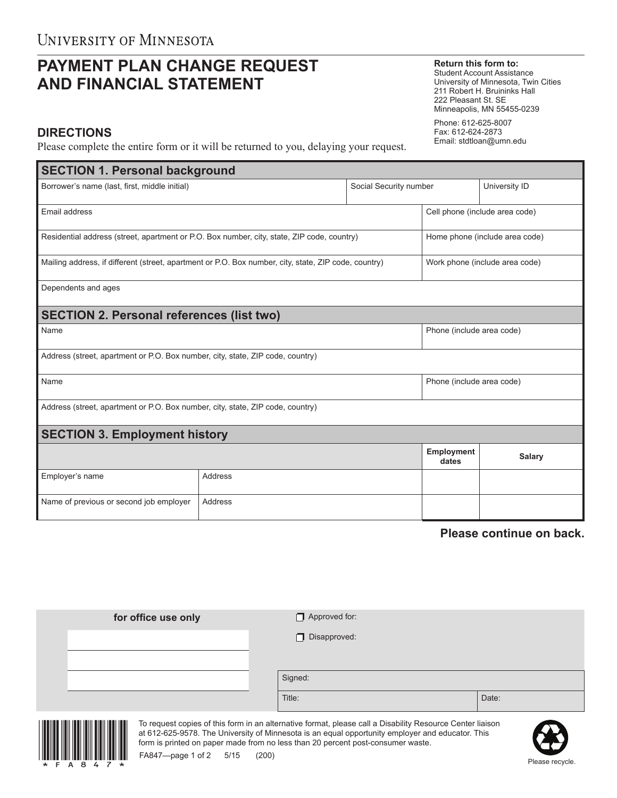## **PAYMENT PLAN CHANGE REQUEST AND FINANCIAL STATEMENT**

## **Return this form to:**

Student Account Assistance University of Minnesota, Twin Cities 211 Robert H. Bruininks Hall 222 Pleasant St. SE Minneapolis, MN 55455-0239

Phone: 612-625-8007 Fax: 612-624-2873 Email: stdtloan@umn.edu

## **DIRECTIONS**

Please complete the entire form or it will be returned to you, delaying your request.

| <b>SECTION 1. Personal background</b>                                                                |                |                                |                                |               |  |  |  |  |
|------------------------------------------------------------------------------------------------------|----------------|--------------------------------|--------------------------------|---------------|--|--|--|--|
| Borrower's name (last, first, middle initial)                                                        |                | Social Security number         |                                | University ID |  |  |  |  |
| Email address                                                                                        |                | Cell phone (include area code) |                                |               |  |  |  |  |
| Residential address (street, apartment or P.O. Box number, city, state, ZIP code, country)           |                |                                | Home phone (include area code) |               |  |  |  |  |
| Mailing address, if different (street, apartment or P.O. Box number, city, state, ZIP code, country) |                |                                | Work phone (include area code) |               |  |  |  |  |
| Dependents and ages                                                                                  |                |                                |                                |               |  |  |  |  |
| <b>SECTION 2. Personal references (list two)</b>                                                     |                |                                |                                |               |  |  |  |  |
| Name                                                                                                 |                | Phone (include area code)      |                                |               |  |  |  |  |
| Address (street, apartment or P.O. Box number, city, state, ZIP code, country)                       |                |                                |                                |               |  |  |  |  |
| Name                                                                                                 |                | Phone (include area code)      |                                |               |  |  |  |  |
| Address (street, apartment or P.O. Box number, city, state, ZIP code, country)                       |                |                                |                                |               |  |  |  |  |
| <b>SECTION 3. Employment history</b>                                                                 |                |                                |                                |               |  |  |  |  |
|                                                                                                      |                |                                | <b>Employment</b><br>dates     | <b>Salary</b> |  |  |  |  |
| Employer's name                                                                                      | <b>Address</b> |                                |                                |               |  |  |  |  |
| Name of previous or second job employer                                                              | Address        |                                |                                |               |  |  |  |  |

**Please continue on back.**

| for office use only | $\Box$ Approved for: |       |  |
|---------------------|----------------------|-------|--|
|                     | $\Box$ Disapproved:  |       |  |
|                     |                      |       |  |
|                     | Signed:              |       |  |
|                     | Title:               | Date: |  |



To request copies of this form in an alternative format, please call a Disability Resource Center liaison at 612-625-9578. The University of Minnesota is an equal opportunity employer and educator. This form is printed on paper made from no less than 20 percent post-consumer waste.